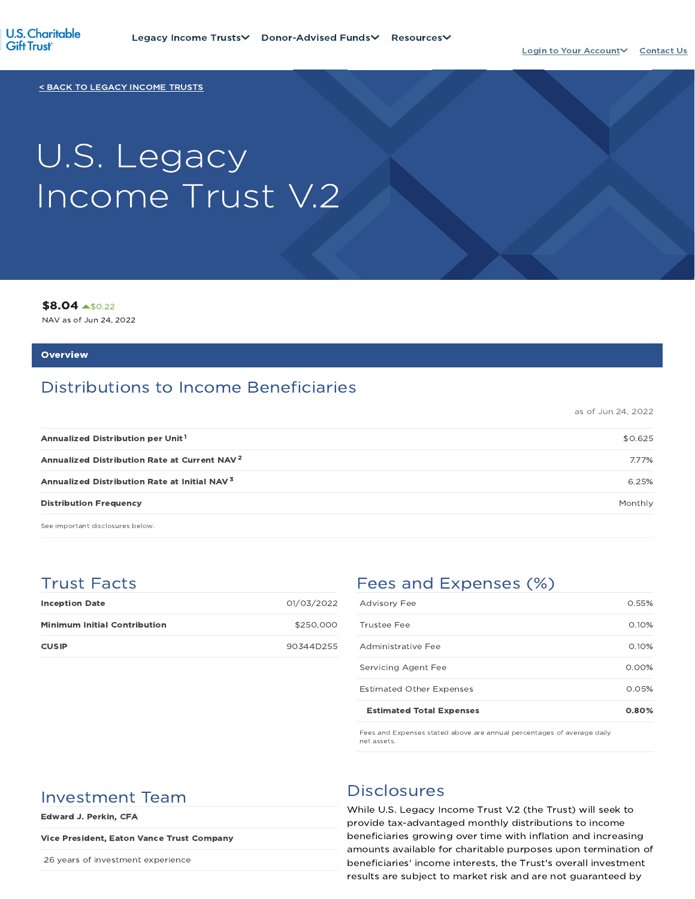

< BACK TO LEGACY INCOME TRUSTS

# U.S. Legacy Income Trust V.2

\$8.04 \$0.22

NAV as of Jun 24, 2022

#### **Overview**

# Distributions to Income Beneficiaries

as of Jun 24, 2022

| Annualized Distribution per Unit <sup>1</sup>            | \$0.625 |
|----------------------------------------------------------|---------|
| Annualized Distribution Rate at Current NAV <sup>2</sup> | 7.77%   |
| Annualized Distribution Rate at Initial NAV <sup>3</sup> | 6.25%   |
| <b>Distribution Frequency</b>                            | Monthly |

See important disclosures below.

## Trust Facts

| <b>Inception Date</b>               | 01/03/2022 |
|-------------------------------------|------------|
| <b>Minimum Initial Contribution</b> | \$250,000  |
| <b>CUSIP</b>                        | 90344D255  |

# Fees and Expenses (%)

| <b>Estimated Total Expenses</b> | 0.80%    |
|---------------------------------|----------|
| <b>Estimated Other Expenses</b> | 0.05%    |
| Servicing Agent Fee             | $0.00\%$ |
| Administrative Fee              | 0.10%    |
| Trustee Fee                     | 0.10%    |
| <b>Advisory Fee</b>             | 0.55%    |

Fees and Expenses stated above are annual percentages of average daily net assets.

# Investment Team Disclosures

Edward J. Perkin, CFA

#### Vice President, Eaton Vance Trust Company

26 years of investment experience

While U.S. Legacy Income Trust V.2 (the Trust) will seek to provide tax-advantaged monthly distributions to income beneficiaries growing over time with inflation and increasing amounts available for charitable purposes upon termination of beneficiaries' income interests, the Trust's overall investment results are subject to market risk and are not guaranteed by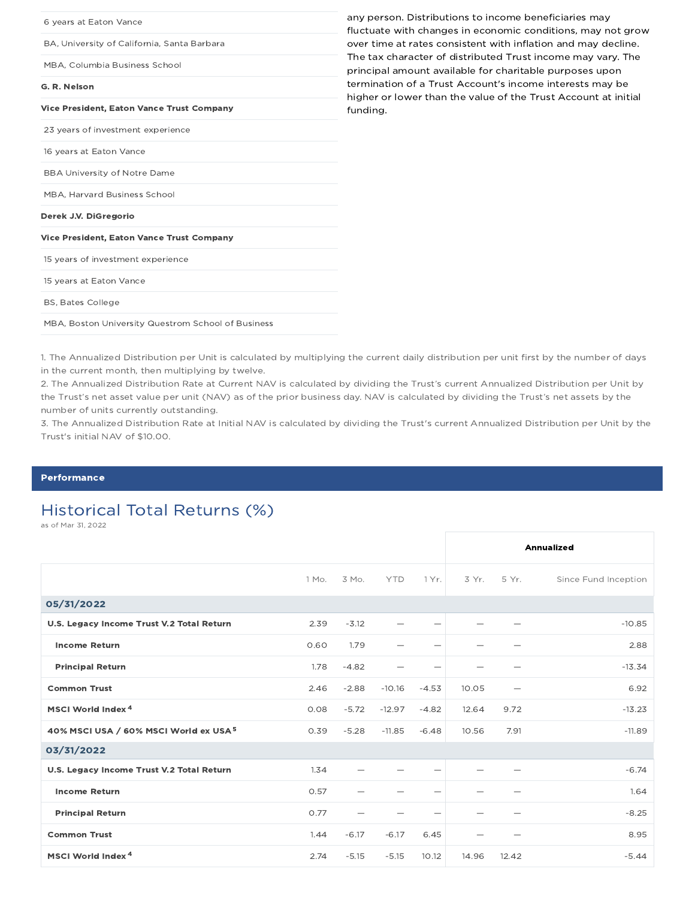| 6 years at Eaton Vance                             | any person. Distributions to income beneficiaries may<br>fluctuate with changes in economic conditions, may not grow       |
|----------------------------------------------------|----------------------------------------------------------------------------------------------------------------------------|
| BA, University of California, Santa Barbara        | over time at rates consistent with inflation and may decline.                                                              |
| MBA, Columbia Business School                      | The tax character of distributed Trust income may vary. The<br>principal amount available for charitable purposes upon     |
| G. R. Nelson                                       | termination of a Trust Account's income interests may be<br>higher or lower than the value of the Trust Account at initial |
| <b>Vice President, Eaton Vance Trust Company</b>   | funding.                                                                                                                   |
| 23 years of investment experience                  |                                                                                                                            |
| 16 years at Eaton Vance                            |                                                                                                                            |
| <b>BBA University of Notre Dame</b>                |                                                                                                                            |
| MBA, Harvard Business School                       |                                                                                                                            |
| Derek J.V. DiGregorio                              |                                                                                                                            |
| Vice President, Eaton Vance Trust Company          |                                                                                                                            |
| 15 years of investment experience                  |                                                                                                                            |
| 15 years at Eaton Vance                            |                                                                                                                            |
| <b>BS, Bates College</b>                           |                                                                                                                            |
| MBA, Boston University Questrom School of Business |                                                                                                                            |

1. The Annualized Distribution per Unit is calculated by multiplying the current daily distribution per unit first by the number of days in the current month, then multiplying by twelve.

2. The Annualized Distribution Rate at Current NAV is calculated by dividing the Trust's current Annualized Distribution per Unit by the Trust's net asset value per unit (NAV) as of the prior business day. NAV is calculated by dividing the Trust's net assets by the number of units currently outstanding.

3. The Annualized Distribution Rate at Initial NAV is calculated by dividing the Trust's current Annualized Distribution per Unit by the Trust's initial NAV of \$10.00.

#### Performance

# Historical Total Returns (%)

as of Mar 31, 2022

|                                                   |       |         |            |                          |         |                          | Annualized           |
|---------------------------------------------------|-------|---------|------------|--------------------------|---------|--------------------------|----------------------|
|                                                   | 1 Mo. | 3 Mo.   | <b>YTD</b> | 1 Yr.                    | $3Yr$ . | 5 Yr.                    | Since Fund Inception |
| 05/31/2022                                        |       |         |            |                          |         |                          |                      |
| U.S. Legacy Income Trust V.2 Total Return         | 2.39  | $-3.12$ |            | $\overline{\phantom{0}}$ |         |                          | $-10.85$             |
| <b>Income Return</b>                              | 0.60  | 1.79    |            | $\qquad \qquad$          | -       |                          | 2.88                 |
| <b>Principal Return</b>                           | 1.78  | $-4.82$ |            | $\overline{\phantom{0}}$ |         |                          | $-13.34$             |
| <b>Common Trust</b>                               | 2.46  | $-2.88$ | $-10.16$   | $-4.53$                  | 10.05   | $\overline{\phantom{0}}$ | 6.92                 |
| MSCI World Index <sup>4</sup>                     | 0.08  | $-5.72$ | $-12.97$   | $-4.82$                  | 12.64   | 9.72                     | $-13.23$             |
| 40% MSCI USA / 60% MSCI World ex USA <sup>5</sup> | 0.39  | $-5.28$ | $-11.85$   | $-6.48$                  | 10.56   | 7.91                     | $-11.89$             |
| 03/31/2022                                        |       |         |            |                          |         |                          |                      |
| U.S. Legacy Income Trust V.2 Total Return         | 1.34  |         |            |                          |         |                          | $-6.74$              |
| <b>Income Return</b>                              | 0.57  |         |            | $\overline{\phantom{0}}$ |         |                          | 1.64                 |
| <b>Principal Return</b>                           | 0.77  |         |            |                          |         |                          | $-8.25$              |
| <b>Common Trust</b>                               | 1.44  | $-6.17$ | $-6.17$    | 6.45                     |         |                          | 8.95                 |
| MSCI World Index <sup>4</sup>                     | 2.74  | $-5.15$ | $-5.15$    | 10.12                    | 14.96   | 12.42                    | $-5.44$              |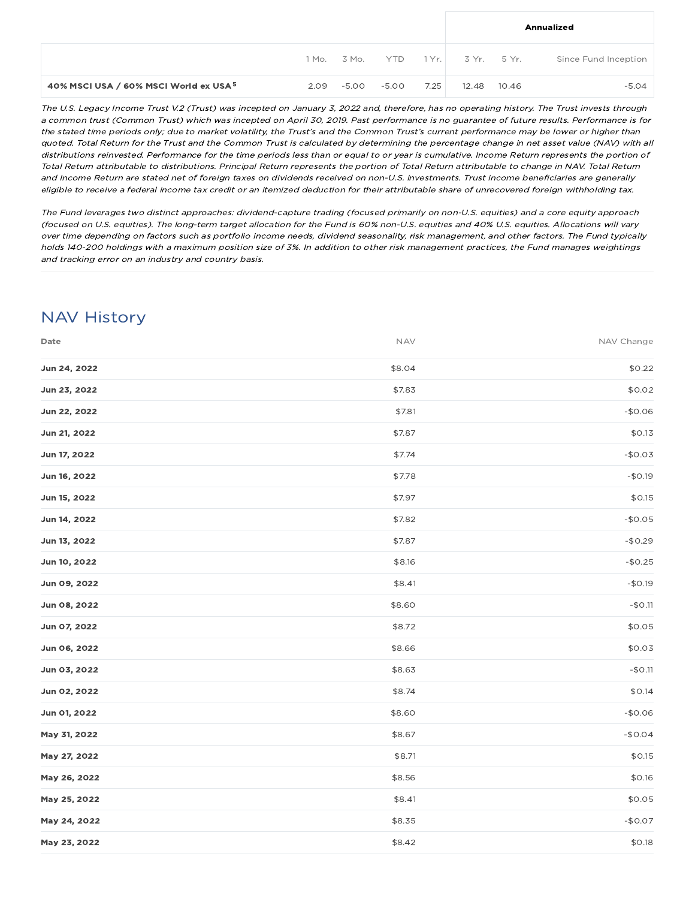|                                                   |      |             |            |      | Annualized          |       |                      |
|---------------------------------------------------|------|-------------|------------|------|---------------------|-------|----------------------|
|                                                   |      | 1 Mo. 3 Mo. | <b>YTD</b> |      | 1 Yr.   3 Yr. 5 Yr. |       | Since Fund Inception |
| 40% MSCI USA / 60% MSCI World ex USA <sup>5</sup> | 2.09 | -5.00       | -5.00      | 7.25 | 12.48               | 10.46 | $-5.04$              |

The U.S. Legacy Income Trust V.2 (Trust) was incepted on January 3, 2022 and, therefore, has no operating history. The Trust invests through <sup>a</sup> common trust (Common Trust) which was incepted on April 30, 2019. Past performance is no guarantee of future results. Performance is for the stated time periods only; due to market volatility, the Trust's and the Common Trust's current performance may be lower or higher than quoted. Total Return for the Trust and the Common Trust is calculated by determining the percentage change in net asset value (NAV) with all distributions reinvested. Performance for the time periods less than or equal to or year is cumulative. Income Return represents the portion of Total Return attributable to distributions. Principal Return represents the portion of Total Return attributable to change in NAV. Total Return and Income Return are stated net of foreign taxes on dividends received on non-U.S. investments. Trust income beneficiaries are generally eligible to receive <sup>a</sup> federal income tax credit or an itemized deduction for their attributable share of unrecovered foreign withholding tax.

The Fund leverages two distinct approaches: dividend-capture trading (focused primarily on non-U.S. equities) and <sup>a</sup> core equity approach (focused on U.S. equities). The long-term target allocation for the Fund is 60% non-U.S. equities and 40% U.S. equities. Allocations will vary over time depending on factors such as portfolio income needs, dividend seasonality, risk management, and other factors. The Fund typically holds 140-200 holdings with <sup>a</sup> maximum position size of 3%. In addition to other risk management practices, the Fund manages weightings and tracking error on an industry and country basis.

# NAV History

| Date         | <b>NAV</b> | NAV Change |
|--------------|------------|------------|
| Jun 24, 2022 | \$8.04     | \$0.22     |
| Jun 23, 2022 | \$7.83     | \$0.02     |
| Jun 22, 2022 | \$7.81     | $-$0.06$   |
| Jun 21, 2022 | \$7.87     | \$0.13     |
| Jun 17, 2022 | \$7.74     | $-$0.03$   |
| Jun 16, 2022 | \$7.78     | $-$0.19$   |
| Jun 15, 2022 | \$7.97     | \$0.15     |
| Jun 14, 2022 | \$7.82     | $-$0.05$   |
| Jun 13, 2022 | \$7.87     | $-$0.29$   |
| Jun 10, 2022 | \$8.16     | $-$0.25$   |
| Jun 09, 2022 | \$8.41     | $-$0.19$   |
| Jun 08, 2022 | \$8.60     | $-$0.11$   |
| Jun 07, 2022 | \$8.72     | \$0.05     |
| Jun 06, 2022 | \$8.66     | \$0.03     |
| Jun 03, 2022 | \$8.63     | $-$0.11$   |
| Jun 02, 2022 | \$8.74     | \$0.14     |
| Jun 01, 2022 | \$8.60     | $-$0.06$   |
| May 31, 2022 | \$8.67     | $-$0.04$   |
| May 27, 2022 | \$8.71     | \$0.15     |
| May 26, 2022 | \$8.56     | \$0.16     |
| May 25, 2022 | \$8.41     | \$0.05     |
| May 24, 2022 | \$8.35     | $-$0.07$   |
| May 23, 2022 | \$8.42     | \$0.18     |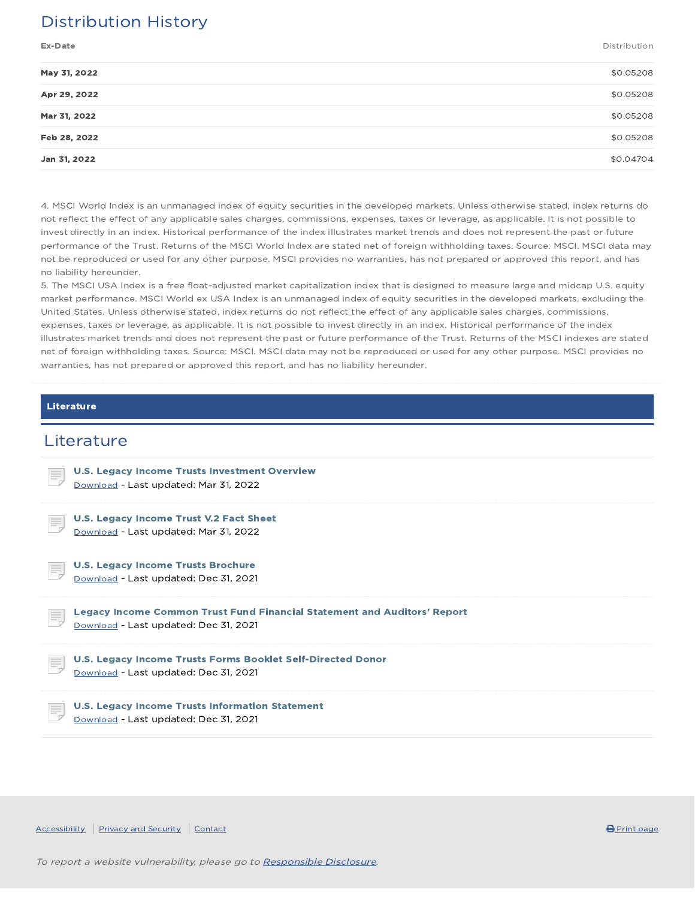# Distribution History

Ex-Date Distribution

| May 31, 2022 | \$0.05208 |
|--------------|-----------|
| Apr 29, 2022 | \$0.05208 |
| Mar 31, 2022 | \$0.05208 |
| Feb 28, 2022 | \$0.05208 |
| Jan 31, 2022 | \$0.04704 |
|              |           |

4. MSCI World Index is an unmanaged index of equity securities in the developed markets. Unless otherwise stated, index returns do not reflect the effect of any applicable sales charges, commissions, expenses, taxes or leverage, as applicable. It is not possible to invest directly in an index. Historical performance of the index illustrates market trends and does not represent the past or future performance of the Trust. Returns of the MSCI World Index are stated net of foreign withholding taxes. Source: MSCI. MSCI data may not be reproduced or used for any other purpose. MSCI provides no warranties, has not prepared or approved this report, and has no liability hereunder.

5. The MSCI USA Index is a free float-adjusted market capitalization index that is designed to measure large and midcap U.S. equity market performance. MSCI World ex USA Index is an unmanaged index of equity securities in the developed markets, excluding the United States. Unless otherwise stated, index returns do not reflect the effect of any applicable sales charges, commissions, expenses, taxes or leverage, as applicable. It is not possible to invest directly in an index. Historical performance of the index illustrates market trends and does not represent the past or future performance of the Trust. Returns of the MSCI indexes are stated net of foreign withholding taxes. Source: MSCI. MSCI data may not be reproduced or used for any other purpose. MSCI provides no warranties, has not prepared or approved this report, and has no liability hereunder.

#### Literature

### **Literature**

| <b>U.S. Legacy Income Trusts Investment Overview</b><br>E,<br>Download - Last updated: Mar 31, 2022                     |  |
|-------------------------------------------------------------------------------------------------------------------------|--|
| U.S. Legacy Income Trust V.2 Fact Sheet<br>Ę<br>Download - Last updated: Mar 31, 2022                                   |  |
| <b>U.S. Legacy Income Trusts Brochure</b><br>IĘ,<br>Download - Last updated: Dec 31, 2021                               |  |
| Legacy Income Common Trust Fund Financial Statement and Auditors' Report<br>ŧ,<br>Download - Last updated: Dec 31, 2021 |  |
| U.S. Legacy Income Trusts Forms Booklet Self-Directed Donor<br>Ħ,<br>Download - Last updated: Dec 31, 2021              |  |
| <b>U.S. Legacy Income Trusts Information Statement</b><br>₹<br>Download - Last updated: Dec 31, 2021                    |  |

Accessibility Privacy and Security Contact **Contact Contact Contact Contact Contact Contact Contact** Print page